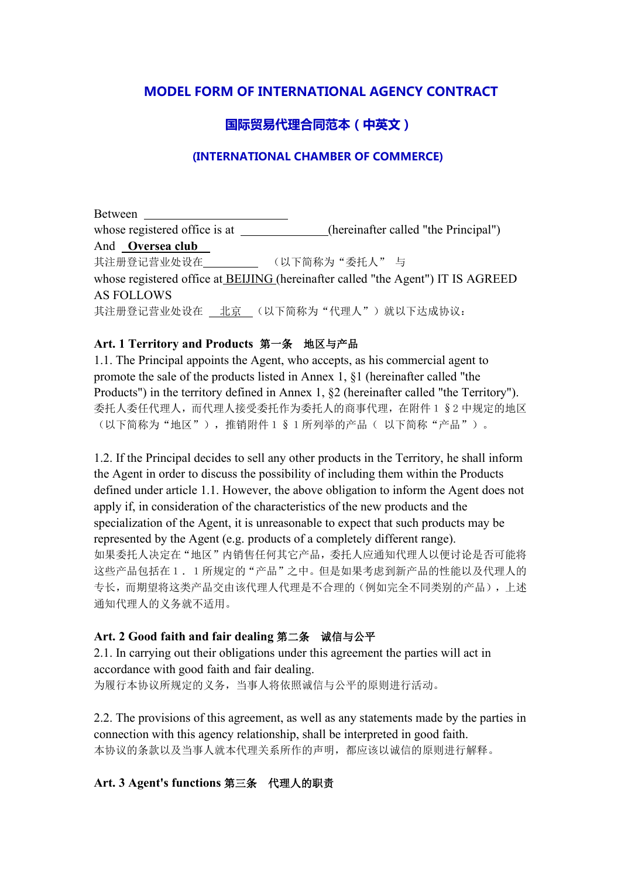# **MODEL FORM OF INTERNATIONAL AGENCY CONTRACT**

# **国际贸易代理合同范本(中英文)**

#### **(INTERNATIONAL CHAMBER OF COMMERCE)**

Between whose registered office is at (hereinafter called "the Principal") And **Oversea club** 其注册登记营业处设在 (以下简称为"委托人" 与 whose registered office at BEIJING (hereinafter called "the Agent") IT IS AGREED AS FOLLOWS 其注册登记营业处设在 北京 (以下简称为"代理人")就以下达成协议:

#### **Art. 1 Territory and Products** 第一条 地区与产品

1.1. The Principal appoints the Agent, who accepts, as his commercial agent to promote the sale of the products listed in Annex 1, §1 (hereinafter called "the Products") in the territory defined in Annex 1, §2 (hereinafter called "the Territory"). 委托人委任代理人,而代理人接受委托作为委托人的商事代理,在附件1§2 中规定的地区 (以下简称为"地区"),推销附件1§1所列举的产品( 以下简称"产品")。

1.2. If the Principal decides to sell any other products in the Territory, he shall inform the Agent in order to discuss the possibility of including them within the Products defined under article 1.1. However, the above obligation to inform the Agent does not apply if, in consideration of the characteristics of the new products and the specialization of the Agent, it is unreasonable to expect that such products may be represented by the Agent (e.g. products of a completely different range). 如果委托人决定在"地区"内销售任何其它产品,委托人应通知代理人以便讨论是否可能将 这些产品包括在1.1所规定的"产品"之中。但是如果考虑到新产品的性能以及代理人的 专长,而期望将这类产品交由该代理人代理是不合理的(例如完全不同类别的产品),上述 通知代理人的义务就不适用。

#### **Art. 2 Good faith and fair dealing** 第二条 诚信与公平

2.1. In carrying out their obligations under this agreement the parties will act in accordance with good faith and fair dealing. 为履行本协议所规定的义务,当事人将依照诚信与公平的原则进行活动。

2.2. The provisions of this agreement, as well as any statements made by the parties in connection with this agency relationship, shall be interpreted in good faith. 本协议的条款以及当事人就本代理关系所作的声明,都应该以诚信的原则进行解释。

### **Art. 3 Agent's functions** 第三条 代理人的职责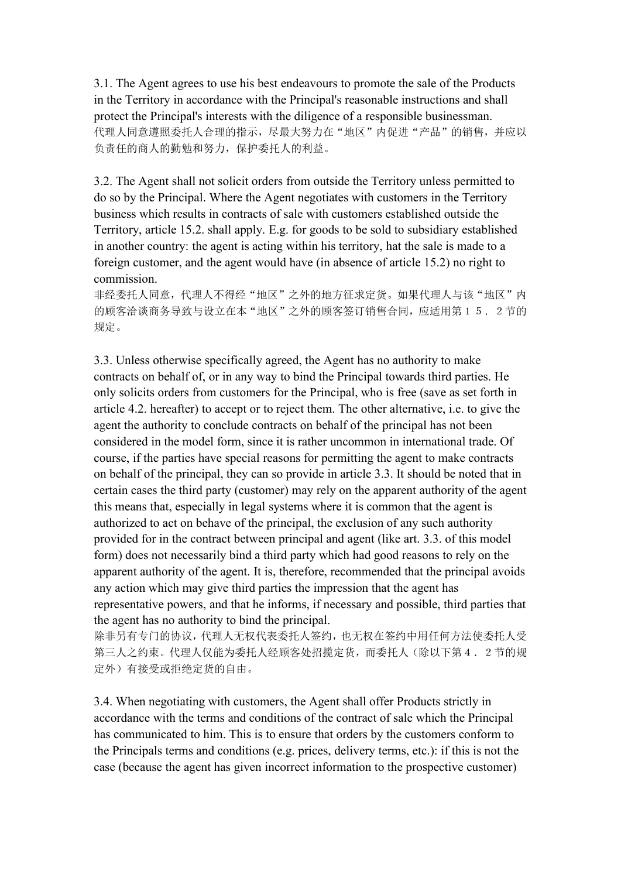3.1. The Agent agrees to use his best endeavours to promote the sale of the Products in the Territory in accordance with the Principal's reasonable instructions and shall protect the Principal's interests with the diligence of a responsible businessman. 代理人同意遵照委托人合理的指示,尽最大努力在"地区"内促进"产品"的销售,并应以 负责任的商人的勤勉和努力,保护委托人的利益。

3.2. The Agent shall not solicit orders from outside the Territory unless permitted to do so by the Principal. Where the Agent negotiates with customers in the Territory business which results in contracts ofsale with customers established outside the Territory, article 15.2. shall apply. E.g. for goods to be sold to subsidiary established in another country: the agent is acting within his territory, hat the sale is made to a foreign customer, and the agent would have (in absence of article 15.2) no right to commission.

非经委托人同意,代理人不得经"地区"之外的地方征求定货。如果代理人与该"地区"内 的顾客洽谈商务导致与设立在本"地区"之外的顾客签订销售合同,应适用第15.2节的 规定。

3.3. Unless otherwise specifically agreed, the Agent has no authority to make contracts on behalf of, or in any way to bind the Principal towards third parties. He only solicits orders from customers for the Principal, who is free (save as set forth in article 4.2. hereafter) to accept or to reject them. The other alternative, i.e. to give the agent the authority to conclude contracts on behalf of the principal has not been considered in the model form, since it is rather uncommon in international trade. Of course, if the parties have special reasons for permitting the agent to make contracts on behalf of the principal, they can so provide in article 3.3. It should be noted that in certain cases the third party (customer) may rely on the apparent authority of the agent this means that, especially in legal systems where it is common that the agent is authorized to act on behave of the principal, the exclusion of any such authority provided for in the contract between principal and agent (like art. 3.3. of this model form) does not necessarily bind a third party which had good reasons to rely on the apparent authority of the agent. It is, therefore, recommended that the principal avoids any action which may give third parties the impression that the agent has representative powers, and that he informs, if necessary and possible, third parties that the agent has no authority to bind the principal.

除非另有专门的协议,代理人无权代表委托人签约,也无权在签约中用任何方法使委托人受 第三人之约束。代理人仅能为委托人经顾客处招揽定货,而委托人(除以下第4.2节的规 定外)有接受或拒绝定货的自由。

3.4. When negotiating with customers, the Agent shall offer Products strictly in accordance with the terms and conditions of the contract of sale which the Principal has communicated to him. This is to ensure that orders by the customers conform to the Principals terms and conditions (e.g. prices, delivery terms, etc.): if this is not the case (because the agent has given incorrect information to the prospective customer)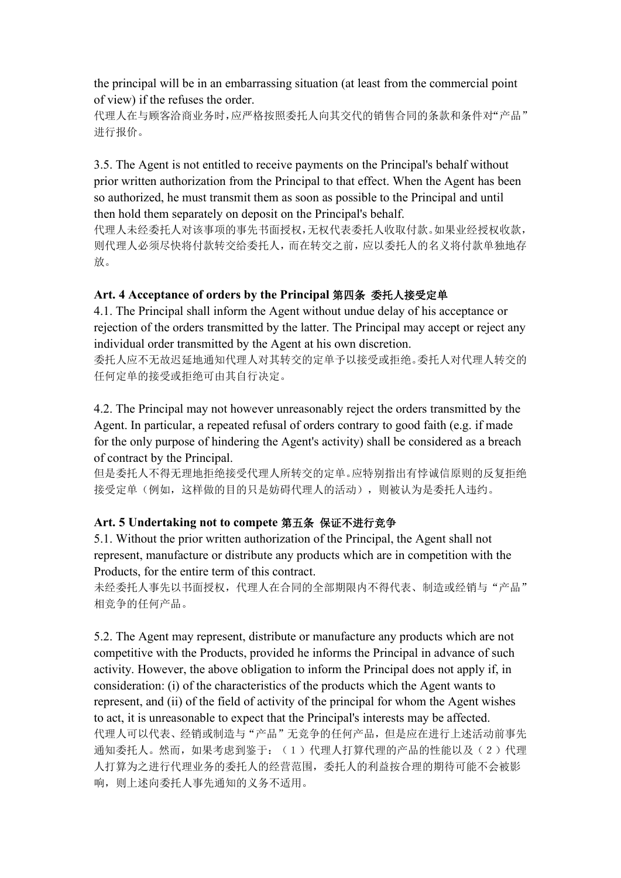the principal will be in an embarrassing situation (at least from the commercial point of view) if the refuses the order.

代理人在与顾客洽商业务时,应严格按照委托人向其交代的销售合同的条款和条件对"产品" 进行报价。

3.5. The Agent is not entitled to receive payments on the Principal's behalf without prior written authorization from the Principal to that effect. When the Agent has been so authorized, he must transmit them as soon as possible to the Principal and until then hold them separately on deposit on the Principal's behalf.

代理人未经委托人对该事项的事先书面授权,无权代表委托人收取付款。如果业经授权收款, 则代理人必须尽快将付款转交给委托人,而在转交之前,应以委托人的名义将付款单独地存 放。

### **Art. 4 Acceptance of orders by the Principal** 第四条 委托人接受定单

4.1. The Principal shall inform the Agent without undue delay of his acceptance or rejection of the orders transmitted by the latter. The Principal may accept or reject any individual order transmitted by the Agent at his own discretion.

委托人应不无故迟延地通知代理人对其转交的定单予以接受或拒绝。委托人对代理人转交的 任何定单的接受或拒绝可由其自行决定。

4.2. The Principal may not however unreasonably reject the orders transmitted by the Agent. In particular, a repeated refusal of orders contrary to good faith (e.g. if made for the only purpose of hindering the Agent's activity) shall be considered as a breach of contract by the Principal.

但是委托人不得无理地拒绝接受代理人所转交的定单。应特别指出有悖诚信原则的反复拒绝 接受定单(例如,这样做的目的只是妨碍代理人的活动),则被认为是委托人违约。

### **Art. 5 Undertaking not to compete** 第五条 保证不进行竞争

5.1. Without the prior written authorization of the Principal, the Agent shall not represent, manufacture or distribute any products which are in competition with the Products, for the entire term of this contract.

未经委托人事先以书面授权,代理人在合同的全部期限内不得代表、制造或经销与"产品" 相竞争的任何产品。

5.2. The Agent may represent, distribute or manufacture any products which are not competitive with the Products, provided he informs the Principal in advance of such activity. However, the above obligation to inform the Principal does not apply if, in consideration: (i) of the characteristics of the products which the Agent wants to represent, and (ii) of the field of activity of the principal for whom the Agent wishes to act, it is unreasonable to expect that the Principal's interests may be affected.代理人可以代表、经销或制造与"产品"无竞争的任何产品,但是应在进行上述活动前事先 通知委托人。然而,如果考虑到鉴于:(1)代理人打算代理的产品的性能以及(2)代理 人打算为之进行代理业务的委托人的经营范围,委托人的利益按合理的期待可能不会被影 响,则上述向委托人事先通知的义务不适用。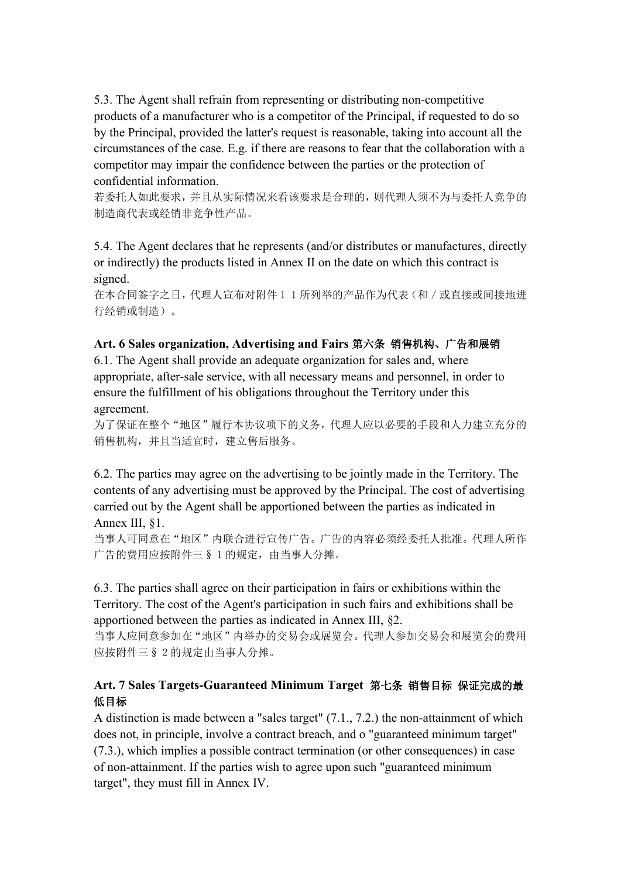5.3. The Agent shall refrain from representing or distributing non-competitive products of a manufacturer who is a competitor of the Principal, if requested to do so by the Principal, provided the latter's request is reasonable, taking into account all the circumstances of the case. E.g. if there are reasons to fear that the collaboration with a competitor may impair the confidence between the parties or the protection of confidential information.

若委托人如此要求,并且从实际情况来看该要求是合理的,则代理人须不为与委托人竞争的 制造商代表或经销非竞争性产品。

5.4. The Agent declares that he represents (and/or distributes ormanufactures, directly or indirectly) the products listed in Annex II on the date on which this contract is signed.

在本合同签字之日,代理人宣布对附件11所列举的产品作为代表(和/或直接或间接地进 行经销或制造)。

#### **Art. 6 Sales organization, Advertising and Fairs** 第六条 销售机构、广告和展销

6.1. The Agent shall provide an adequate organization for sales and, where appropriate, after-sale service, with all necessary means and personnel, in order to ensure the fulfillment of his obligations throughout the Territory under this agreement.

为了保证在整个"地区"履行本协议项下的义务,代理人应以必要的手段和人力建立充分的 销售机构,并且当适宜时,建立售后服务。

6.2. The parties may agree on the advertising to be jointly made in the Territory. The contents of any advertising must be approved by the Principal. The cost of advertising carried out by the Agent shall be apportioned between the parties as indicated in Annex III, §1.

当事人可同意在"地区"内联合进行宣传广告。广告的内容必须经委托人批准。代理人所作 广告的费用应按附件三§1的规定,由当事人分摊。

6.3. The parties shallagree on their participation in fairs orexhibitions within the Territory. The cost of the Agent's participation in such fairs and exhibitions shall be apportioned between the parties as indicated in Annex III, §2.

当事人应同意参加在"地区"内举办的交易会或展览会。代理人参加交易会和展览会的费用 应按附件三§2的规定由当事人分摊。

### **Art. 7 Sales Targets-Guaranteed Minimum Target** 第七条 销售目标 保证完成的最 低目标

A distinction is made between a "sales target" (7.1., 7.2.) the non-attainment of which does not, in principle, involve a contract breach, and o "guaranteed minimum target" (7.3.), which implies a possible contract termination (or other consequences) in case of non-attainment. If the parties wish to agree upon such "guaranteed minimum target", they must fill in Annex IV.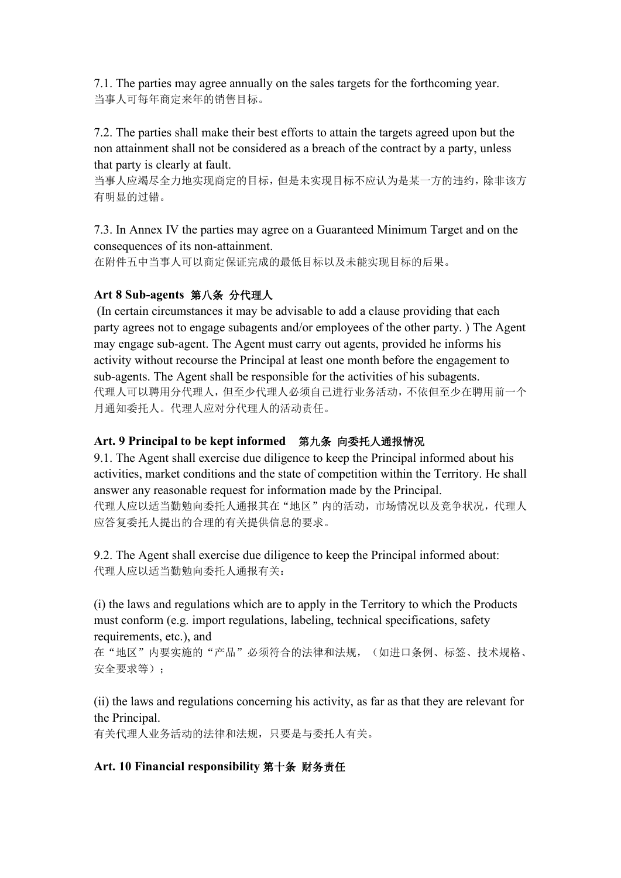7.1. The parties may agree annually on the sales targets for the forthcoming year. 当事人可每年商定来年的销售目标。

7.2. The parties shall make their best efforts to attain the targets agreed upon but the non attainment shall not be considered as a breach of the contract by a party, unless that party is clearly at fault.

当事人应竭尽全力地实现商定的目标,但是未实现目标不应认为是某一方的违约,除非该方 有明显的过错。

7.3. In Annex IV the parties may agree on a Guaranteed Minimum Target and on the consequences of its non-attainment.

在附件五中当事人可以商定保证完成的最低目标以及未能实现目标的后果。

## **Art 8 Sub-agents** 第八条 分代理人

(In certain circumstances it may be advisable to add a clause providing that each party agrees not to engage subagents and/or employees ofthe other party. ) The Agent may engage sub-agent. The Agent must carry out agents, provided he informs his activity without recourse the Principal at least one month before the engagement to sub-agents. The Agent shall be responsible for the activities of his subagents. 代理人可以聘用分代理人,但至少代理人必须自己进行业务活动,不依但至少在聘用前一个 月通知委托人。代理人应对分代理人的活动责任。

### **Art. 9 Principalto be kept informed** 第九条 向委托人通报情况

9.1. The Agent shall exercise due diligence to keep the Principal informed about his activities, market conditions and the state of competition within the Territory. He shall answer any reasonable request for information made by the Principal. 代理人应以适当勤勉向委托人通报其在"地区"内的活动,市场情况以及竞争状况,代理人 应答复委托人提出的合理的有关提供信息的要求。

9.2. The Agent shall exercise due diligence to keep the Principal informed about: 代理人应以适当勤勉向委托人通报有关:

(i) the laws and regulations which are to apply in the Territory to which the Products must conform (e.g. import regulations, labeling, technical specifications, safety requirements, etc.), and

在"地区"内要实施的"产品"必须符合的法律和法规,(如进口条例、标签、技术规格、 安全要求等);

(ii) the laws and regulations concerning his activity, as far as that they are relevant for the Principal.

有关代理人业务活动的法律和法规,只要是与委托人有关。

## Art. 10 Financial responsibility 第十条 财务责任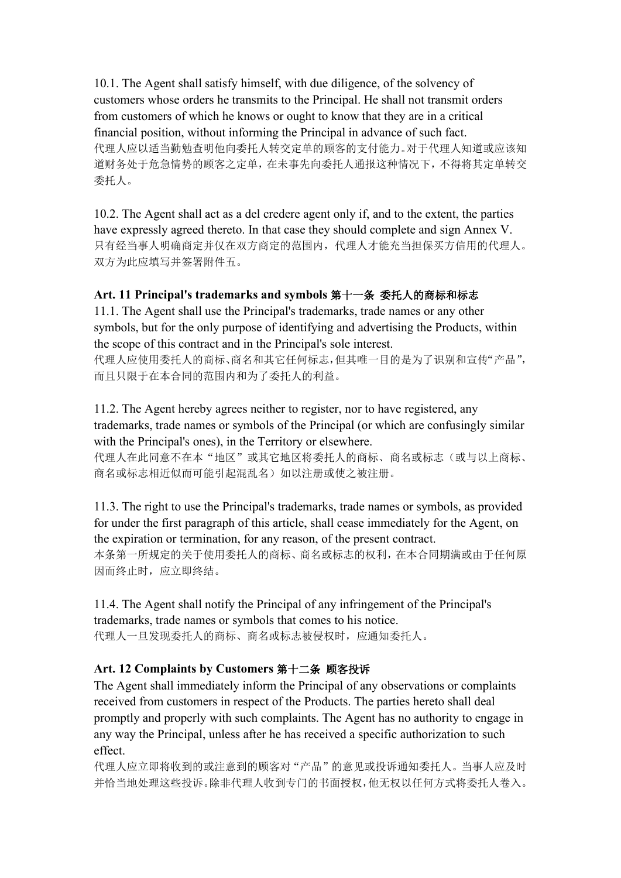10.1. The Agent shall satisfy himself, with due diligence, of the solvency of customers whose orders he transmits to the Principal. He shall not transmit orders from customers of which he knows or ought to know that they are in a critical financial position, without informing the Principal in advance of such fact. 代理人应以适当勤勉查明他向委托人转交定单的顾客的支付能力。对于代理人知道或应该知 道财务处于危急情势的顾客之定单,在未事先向委托人通报这种情况下,不得将其定单转交 委托人。

10.2. The Agent shall act as a del credere agent only if, and to the extent, the parties have expressly agreed thereto. In that case they should complete and sign Annex V. 只有经当事人明确商定并仅在双方商定的范围内,代理人才能充当担保买方信用的代理人。 双方为此应填写并签署附件五。

## **Art. 11 Principal's trademarks and symbols** 第十一条 委托人的商标和标志

11.1. The Agent shall use the Principal's trademarks, trade names orany other symbols, but for the only purpose of identifying and advertising the Products, within the scope of this contract and in the Principal's sole interest.

代理人应使用委托人的商标、商名和其它任何标志,但其唯一目的是为了识别和宣传"产品", 而且只限于在本合同的范围内和为了委托人的利益。

11.2. The Agent hereby agrees neither to register, nor to have registered, any trademarks, trade names orsymbols of the Principal (or which are confusingly similar with the Principal's ones), in the Territory or elsewhere.

代理人在此同意不在本"地区"或其它地区将委托人的商标、商名或标志(或与以上商标、 商名或标志相近似而可能引起混乱名)如以注册或使之被注册。

11.3. The right to use the Principal's trademarks, trade names orsymbols, as provided for under the first paragraph of this article, shall cease immediately for the Agent, on the expiration or termination, for any reason, of the present contract. 本条第一所规定的关于使用委托人的商标、商名或标志的权利,在本合同期满或由于任何原 因而终止时,应立即终结。

11.4. The Agent shall notify the Principal of any infringement of the Principal's trademarks, trade names or symbols that comes to his notice. 代理人一旦发现委托人的商标、商名或标志被侵权时,应通知委托人。

## **Art. 12 Complaints by Customers** 第十二条 顾客投诉

The Agent shall immediately inform the Principal of any observations orcomplaints received from customers in respect of the Products. The parties hereto shall deal promptly and properly with such complaints. The Agent has no authority to engage in any way the Principal, unless after he has received a specific authorization to such effect.

代理人应立即将收到的或注意到的顾客对"产品"的意见或投诉通知委托人。当事人应及时 并恰当地处理这些投诉。除非代理人收到专门的书面授权,他无权以任何方式将委托人卷入。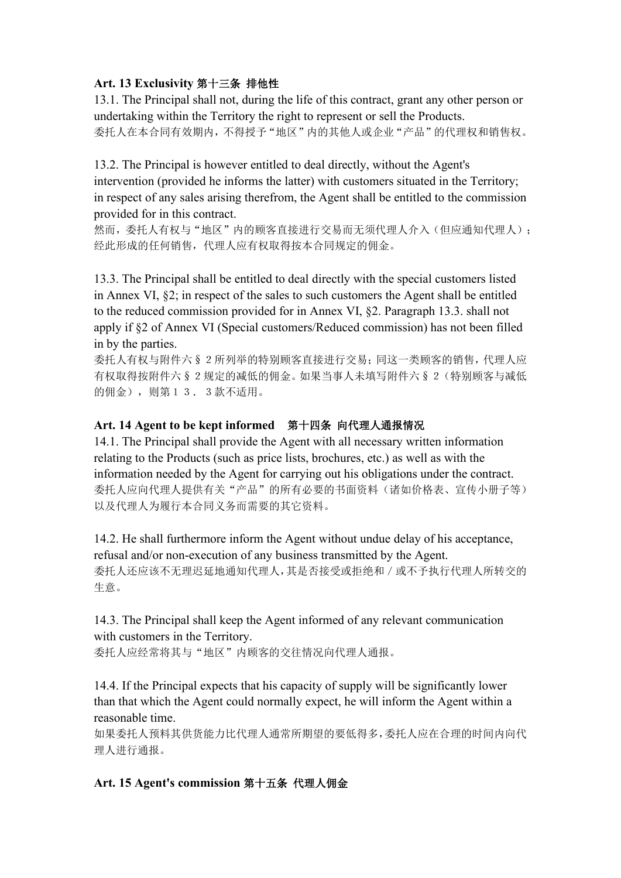## **Art. 13 Exclusivity** 第十三条 排他性

13.1. The Principal shall not, during the life of this contract, grant any other person or undertaking within the Territory the right to represent or sell the Products. 委托人在本合同有效期内,不得授予"地区"内的其他人或企业"产品"的代理权和销售权。

13.2. The Principal is however entitled to deal directly, without the Agent's intervention (provided he informs the latter) with customers situated in the Territory; in respect of any sales arising therefrom, the Agent shall be entitled to the commission provided for in this contract.

然而,委托人有权与"地区"内的顾客直接进行交易而无须代理人介入(但应通知代理人); 经此形成的任何销售,代理人应有权取得按本合同规定的佣金。

13.3. The Principal shall be entitled to deal directly with the special customers listed in Annex VI, §2; in respect of the sales to such customers the Agent shall be entitled to the reduced commission provided for in Annex VI, §2. Paragraph 13.3. shall not apply if §2 of Annex VI (Special customers/Reduced commission) has not been filled in by the parties.

委托人有权与附件六§2所列举的特别顾客直接进行交易;同这一类顾客的销售,代理人应 有权取得按附件六§2规定的减低的佣金。如果当事人未填写附件六§2(特别顾客与减低 的佣金),则第13.3款不适用。

# **Art. 14 Agent to be keptinformed** 第十四条 向代理人通报情况

14.1. The Principal shall provide the Agent with all necessary written information relating to the Products (such as price lists, brochures, etc.) as well as with the information needed by the Agent for carrying out his obligations under the contract. 委托人应向代理人提供有关"产品"的所有必要的书面资料(诸如价格表、宣传小册子等) 以及代理人为履行本合同义务而需要的其它资料。

14.2. He shall furthermore inform the Agent without undue delay of his acceptance, refusal and/or non-execution of any business transmitted by the Agent. 委托人还应该不无理迟延地通知代理人,其是否接受或拒绝和/或不予执行代理人所转交的 生意。

14.3. The Principal shall keep the Agent informed of any relevant communication with customers in the Territory. 委托人应经常将其与"地区"内顾客的交往情况向代理人通报。

14.4. If the Principal expects that his capacity of supply will be significantly lower than that which the Agent could normally expect, he will inform the Agent within a reasonable time.

如果委托人预料其供货能力比代理人通常所期望的要低得多,委托人应在合理的时间内向代 理人进行通报。

# **Art. 15 Agent's commission** 第十五条 代理人佣金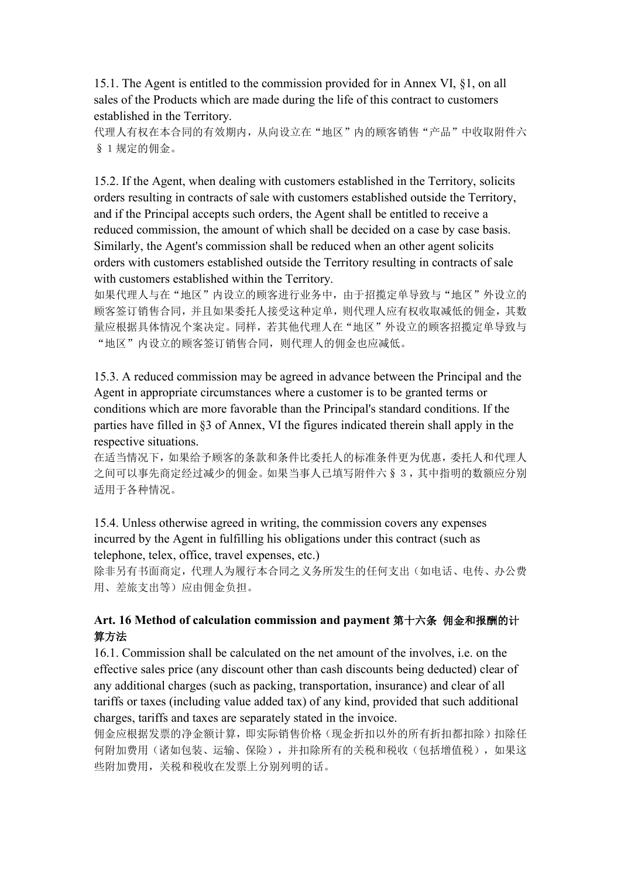15.1. The Agent is entitled to the commission provided for in Annex VI, §1, on all sales of the Products which are made during the life of this contract to customers established in the Territory.

代理人有权在本合同的有效期内,从向设立在"地区"内的顾客销售"产品"中收取附件六 §1规定的佣金。

15.2. If the Agent, when dealing with customers established in the Territory, solicits orders resulting in contracts of sale with customers established outside the Territory, and if the Principal accepts such orders, the Agent shall be entitled to receive a reduced commission, the amount of which shall be decided on a case by case basis. Similarly, the Agent's commission shall be reduced when an other agent solicits orders with customers established outside the Territory resulting in contracts of sale with customers established within the Territory.

如果代理人与在"地区"内设立的顾客进行业务中,由于招揽定单导致与"地区"外设立的 顾客签订销售合同,并且如果委托人接受这种定单,则代理人应有权收取减低的佣金,其数 量应根据具体情况个案决定。同样,若其他代理人在"地区"外设立的顾客招揽定单导致与 "地区"内设立的顾客签订销售合同,则代理人的佣金也应减低。

15.3. A reduced commission may be agreed in advance between the Principal and the Agent in appropriate circumstances where a customer is to be granted terms or conditions which are more favorable than the Principal's standard conditions. If the parties have filled in §3 of Annex, VI the figures indicated therein shall apply in the respective situations.

在适当情况下,如果给予顾客的条款和条件比委托人的标准条件更为优惠,委托人和代理人 之间可以事先商定经过减少的佣金。如果当事人已填写附件六§3,其中指明的数额应分别 适用于各种情况。

15.4. Unless otherwise agreed in writing, the commission covers any expenses incurred by the Agent in fulfilling his obligations under this contract (such as telephone, telex, office, travel expenses, etc.)

除非另有书面商定,代理人为履行本合同之义务所发生的任何支出(如电话、电传、办公费 用、差旅支出等)应由佣金负担。

### **Art. 16 Method of calculation commission and payment** 第十六条 佣金和报酬的计 算方法

16.1. Commission shall be calculated on the netamount of the involves, i.e. on the effective sales price (any discount other than cash discounts being deducted) clear of any additional charges (such as packing, transportation, insurance) and clear of all tariffs or taxes (including value added tax) of any kind, provided that such additional charges, tariffs and taxes are separately stated in the invoice.

佣金应根据发票的净金额计算,即实际销售价格(现金折扣以外的所有折扣都扣除)扣除任 何附加费用(诸如包装、运输、保险),并扣除所有的关税和税收(包括增值税),如果这 些附加费用,关税和税收在发票上分别列明的话。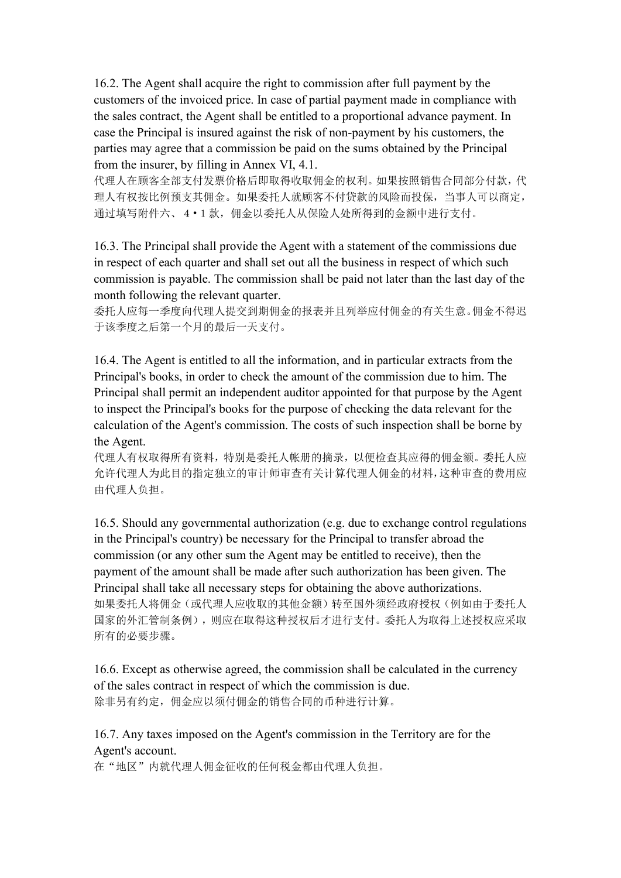16.2. The Agent shall acquire the right to commission after full payment by the customers of the invoiced price. In case of partial payment made in compliance with the sales contract, the Agent shall be entitled to a proportional advance payment. In case the Principal is insured against the risk of non-payment by his customers, the parties may agree that a commission be paid on the sums obtained by the Principal from the insurer, by filling in Annex VI, 4.1.

代理人在顾客全部支付发票价格后即取得收取佣金的权利。如果按照销售合同部分付款,代 理人有权按比例预支其佣金。如果委托人就顾客不付贷款的风险而投保,当事人可以商定, 通过填写附件六、4·1款,佣金以委托人从保险人处所得到的金额中进行支付。

16.3. The Principal shall provide the Agent with a statement of the commissions due in respect of each quarter and shall set out all the business in respect of which such commission is payable. The commission shall be paid not later than the last day of the month following the relevant quarter.

委托人应每一季度向代理人提交到期佣金的报表并且列举应付佣金的有关生意。佣金不得迟 于该季度之后第一个月的最后一天支付。

16.4. The Agent is entitled to all the information, and in particular extracts from the Principal's books, in order to check the amount of the commission due to him. The Principal shall permit an independent auditor appointed for that purpose by the Agent to inspect the Principal's books for the purpose of checking the data relevant for the calculation of the Agent's commission. The costs of such inspection shall be borne by the Agent.

代理人有权取得所有资料,特别是委托人帐册的摘录,以便检查其应得的佣金额。委托人应 允许代理人为此目的指定独立的审计师审查有关计算代理人佣金的材料,这种审查的费用应 由代理人负担。

16.5. Should any governmental authorization (e.g. due to exchange control regulations in the Principal's country) be necessary for the Principal to transfer abroad the commission (or any other sum the Agent may be entitled to receive), then the payment of the amount shall be made after such authorization has been given. The Principal shall take all necessary steps for obtaining the above authorizations. 如果委托人将佣金(或代理人应收取的其他金额)转至国外须经政府授权(例如由于委托人 国家的外汇管制条例),则应在取得这种授权后才进行支付。委托人为取得上述授权应采取 所有的必要步骤。

16.6. Except as otherwise agreed, the commission shall be calculated in the currency of the sales contract in respect of which the commission is due. 除非另有约定, 佣金应以须付佣金的销售合同的币种进行计算。

## 16.7. Any taxes imposed on the Agent's commission in the Territory are for the Agent's account.

在"地区"内就代理人佣金征收的任何税金都由代理人负担。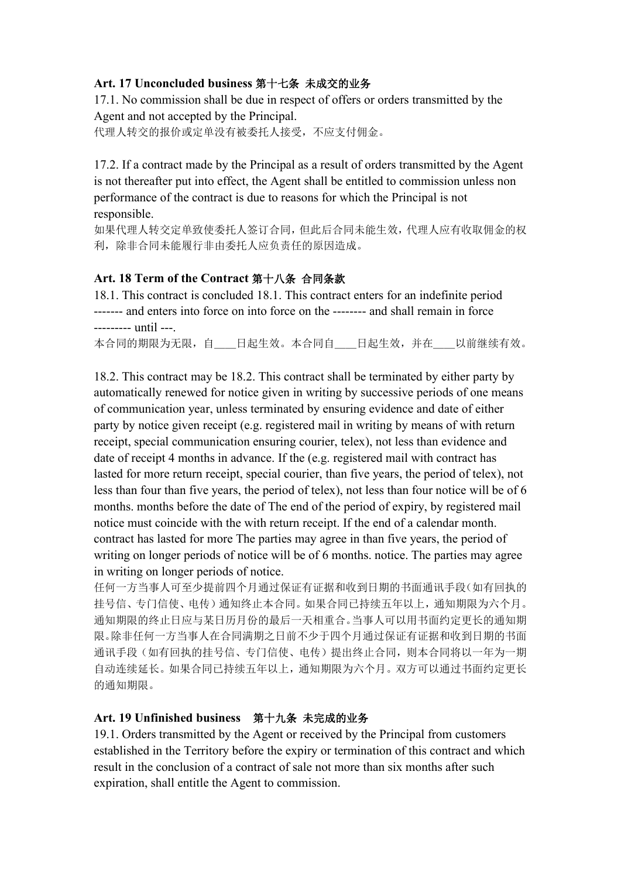### **Art. 17 Unconcluded business** 第十七条 未成交的业务

17.1. No commission shall be due in respect of offers ororders transmitted by the Agent and not accepted by the Principal. 代理人转交的报价或定单没有被委托人接受,不应支付佣金。

17.2. If a contract made by the Principal as a result of orders transmitted by the Agent is not thereafter put into effect, the Agent shall be entitled to commission unless non performance of the contract is due to reasons for which the Principal is not responsible.

如果代理人转交定单致使委托人签订合同,但此后合同未能生效,代理人应有收取佣金的权 利,除非合同未能履行非由委托人应负责任的原因造成。

### **Art. 18 Term of the Contract** 第十八条 合同条款

18.1. This contract is concluded 18.1. This contract enters for an indefinite period ------- and enters into force on into force on the -------- and shall remain in force --------- until ---.

本合同的期限为无限,自\_\_\_日起生效。本合同自\_\_\_日起生效,并在\_\_\_以前继续有效。

18.2. This contract may be 18.2. This contract shall be terminated by either party by automatically renewed for notice given in writing by successive periods of one means of communication year, unless terminated by ensuring evidence and date of either party by notice given receipt (e.g. registered mail in writing by means of with return receipt, special communication ensuring courier, telex), not less than evidence and date of receipt 4 months in advance. If the (e.g. registered mail with contract has lasted for more return receipt, special courier, than five years, the period of telex), not less than four than five years, the period of telex), not less than four notice will be of 6 months. months before the date of The end of the period of expiry, by registered mail notice must coincide with the with return receipt. If the end of a calendar month. contract has lasted for more The parties may agree in than five years, the period of writing on longer periods of notice will be of 6 months, notice. The parties may agree in writing on longer periods of notice.

任何一方当事人可至少提前四个月通过保证有证据和收到日期的书面通讯手段(如有回执的 挂号信、专门信使、电传)通知终止本合同。如果合同已持续五年以上,通知期限为六个月。 通知期限的终止日应与某日历月份的最后一天相重合。当事人可以用书面约定更长的通知期 限。除非任何一方当事人在合同满期之日前不少于四个月通过保证有证据和收到日期的书面 通讯手段(如有回执的挂号信、专门信使、电传)提出终止合同,则本合同将以一年为一期 自动连续延长。如果合同已持续五年以上,通知期限为六个月。双方可以通过书面约定更长 的通知期限。

### **Art. 19 Unfinished business** 第十九条 未完成的业务

19.1. Orders transmitted by the Agent or received by the Principal from customers established in the Territory before the expiry or termination of this contract and which result in the conclusion of a contract of sale not more than six months after such expiration, shall entitle the Agent to commission.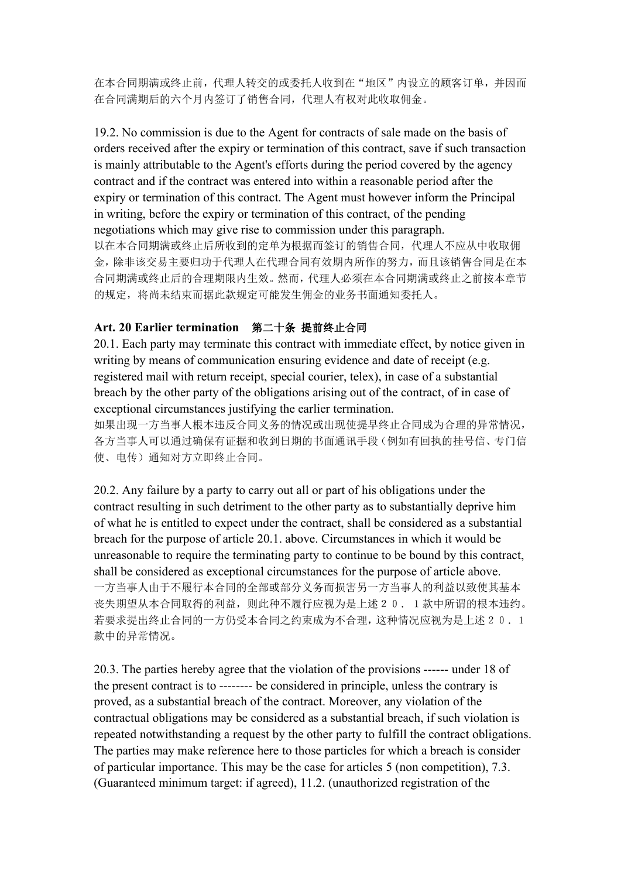在本合同期满或终止前,代理人转交的或委托人收到在"地区"内设立的顾客订单,并因而 在合同满期后的六个月内签订了销售合同,代理人有权对此收取佣金。

19.2. No commission is due to the Agent for contracts of sale made on the basis of orders received after the expiry or termination of this contract, save if such transaction is mainly attributable to the Agent's efforts during the period covered by the agency contract and if the contract was entered into within a reasonable period after the expiry or termination of this contract. The Agent must however inform the Principal in writing, before the expiry or termination of this contract, of the pending negotiations which may give rise to commission under this paragraph. 以在本合同期满或终止后所收到的定单为根据而签订的销售合同,代理人不应从中收取佣

金,除非该交易主要归功于代理人在代理合同有效期内所作的努力,而且该销售合同是在本 合同期满或终止后的合理期限内生效。然而,代理人必须在本合同期满或终止之前按本章节 的规定,将尚未结束而据此款规定可能发生佣金的业务书面通知委托人。

### **Art. 20 Earlier termination** 第二十条 提前终止合同

20.1. Each party may terminate this contract with immediate effect, by notice given in writing by means of communication ensuring evidence and date of receipt (e.g. registered mail with return receipt, special courier, telex), in case of a substantial breach by the other party of the obligations arising out of the contract, of in case of exceptional circumstances justifying the earlier termination.

如果出现一方当事人根本违反合同义务的情况或出现使提早终止合同成为合理的异常情况, 各方当事人可以通过确保有证据和收到日期的书面通讯手段(例如有回执的挂号信、专门信 使、电传)通知对方立即终止合同。

20.2. Any failure by a party to carry out all or part of his obligations under the contract resulting in such detriment to the other party as to substantially deprive him of what he is entitled to expect under the contract, shall be considered as a substantial breach for the purpose of article 20.1. above. Circumstances in which it would be unreasonable to require the terminating party to continue to be bound by this contract, shall be considered as exceptional circumstances for the purpose of article above. 一方当事人由于不履行本合同的全部或部分义务而损害另一方当事人的利益以致使其基本 丧失期望从本合同取得的利益,则此种不履行应视为是上述20.1款中所谓的根本违约。 若要求提出终止合同的一方仍受本合同之约束成为不合理,这种情况应视为是上述20.1 款中的异常情况。

20.3. The parties hereby agree that the violation of the provisions ------ under 18 of the present contract is to -------- be considered in principle, unless the contrary is proved, as a substantial breach of the contract.Moreover, any violation of the contractual obligations may be considered as a substantial breach, if such violation is repeated notwithstanding a request by the other party to fulfill the contract obligations. The parties may make reference here to those particles for which a breach is consider of particular importance. This may be the case for articles 5 (non competition), 7.3. (Guaranteed minimum target: if agreed), 11.2. (unauthorized registration of the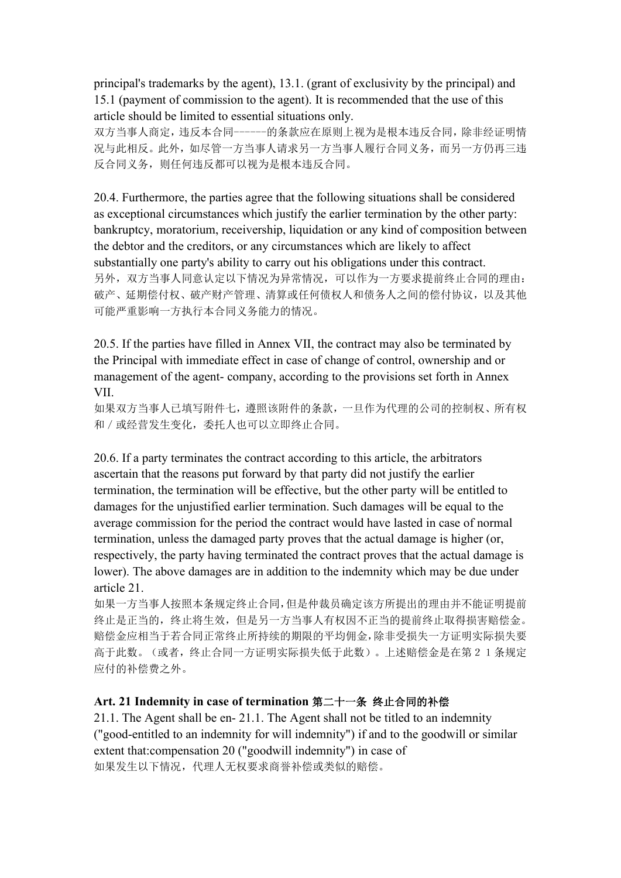principal's trademarks by the agent), 13.1. (grant of exclusivity by the principal) and 15.1 (payment of commission to the agent). It is recommended that the use of this article should be limited to essential situations only.

双方当事人商定,违反本合同------的条款应在原则上视为是根本违反合同,除非经证明情 况与此相反。此外,如尽管一方当事人请求另一方当事人履行合同义务,而另一方仍再三违 反合同义务,则任何违反都可以视为是根本违反合同。

20.4. Furthermore, the parties agree that the following situations shall be considered as exceptional circumstances which justify the earlier termination by the other party: bankruptcy, moratorium, receivership, liquidation or any kind of composition between the debtor and the creditors, or any circumstances which are likely to affect substantially one party's ability to carry out his obligations under this contract. 另外,双方当事人同意认定以下情况为异常情况,可以作为一方要求提前终止合同的理由: 破产、延期偿付权、破产财产管理、清算或任何债权人和债务人之间的偿付协议,以及其他 可能严重影响一方执行本合同义务能力的情况。

20.5. If the parties have filled in Annex VII, the contract may also be terminated by the Principal with immediate effect in case of change of control, ownership and or management of the agent- company, according to the provisions set forth in Annex VII.

如果双方当事人已填写附件七,遵照该附件的条款,一旦作为代理的公司的控制权、所有权 和/或经营发生变化,委托人也可以立即终止合同。

20.6. If a party terminates the contract according to this article, the arbitrators ascertain that the reasons put forward by that party did not justify the earlier termination, the termination will be effective, but the other party will be entitled to damages for the unjustified earlier termination. Such damages will be equal to the average commission for the period the contract would have lasted in case of normal termination, unless the damaged party proves that the actual damage is higher (or, respectively, the party having terminated the contract proves that the actual damage is lower). The above damages are in addition to the indemnity which may be due under article 21.

如果一方当事人按照本条规定终止合同,但是仲裁员确定该方所提出的理由并不能证明提前 终止是正当的,终止将生效,但是另一方当事人有权因不正当的提前终止取得损害赔偿金。 赔偿金应相当于若合同正常终止所持续的期限的平均佣金,除非受损失一方证明实际损失要 高于此数。(或者,终止合同一方证明实际损失低于此数)。上述赔偿金是在第21条规定 应付的补偿费之外。

### **Art. 21 Indemnity in case of termination** 第二十一条 终止合同的补偿

21.1. The Agent shall be en- 21.1. The Agent shall not be titled to an indemnity ("good-entitled to an indemnity for will indemnity") if and to the goodwill or similar extent that:compensation 20 ("goodwill indemnity") in case of 如果发生以下情况,代理人无权要求商誉补偿或类似的赔偿。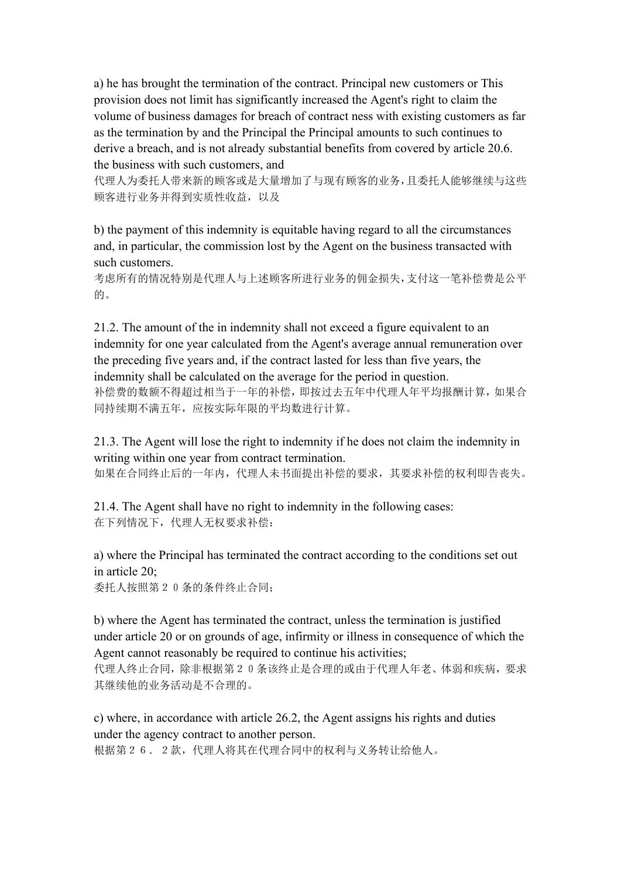a) he has brought the termination of the contract. Principal new customers or This provision does not limit has significantly increased the Agent's right to claim the volume of business damages for breach of contract ness with existing customers as far as the termination by and the Principal the Principal amounts to such continues to derive a breach, and is not already substantial benefits from covered by article 20.6. the business with such customers, and

代理人为委托人带来新的顾客或是大量增加了与现有顾客的业务,且委托人能够继续与这些 顾客进行业务并得到实质性收益,以及

b) the payment of this indemnity is equitable having regard to all the circumstances and, in particular, the commission lost by the Agent on the business transacted with such customers.

考虑所有的情况特别是代理人与上述顾客所进行业务的佣金损失,支付这一笔补偿费是公平 的。

21.2. The amount of the in indemnity shall not exceed a figure equivalent to an indemnity for one year calculated from the Agent's average annual remuneration over the preceding five years and, if the contract lasted for less than five years, the indemnity shall be calculated on the average for the period in question. 补偿费的数额不得超过相当于一年的补偿,即按过去五年中代理人年平均报酬计算,如果合 同持续期不满五年,应按实际年限的平均数进行计算。

21.3. The Agent will lose the right to indemnity if he does not claim the indemnity in writing within one year from contract termination.

如果在合同终止后的一年内,代理人未书面提出补偿的要求,其要求补偿的权利即告丧失。

21.4. The Agent shall have no right to indemnity in the following cases: 在下列情况下,代理人无权要求补偿:

a) where the Principal has terminated the contract according to the conditions set out in article 20;

委托人按照第20条的条件终止合同;

b) where the Agent has terminated the contract, unless the termination is justified under article 20 or on grounds of age, infirmity or illness in consequence of which the Agent cannot reasonably be required to continue his activities;

代理人终止合同,除非根据第20条该终止是合理的或由于代理人年老、体弱和疾病,要求 其继续他的业务活动是不合理的。

c) where, in accordance with article 26.2, the Agent assigns his rights and duties under the agency contract to another person.

根据第26.2款,代理人将其在代理合同中的权利与义务转让给他人。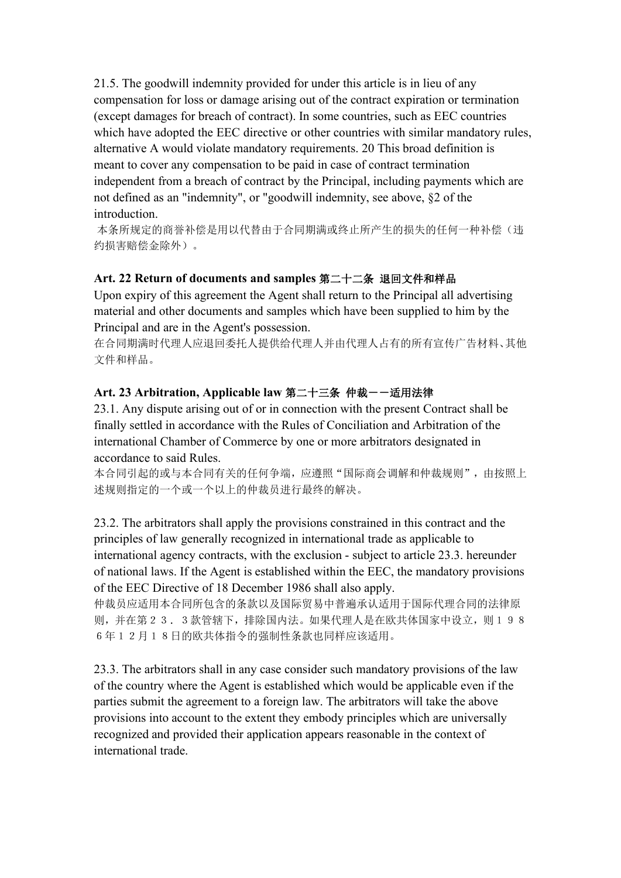21.5. The goodwill indemnity provided for under this article is in lieu of any compensation for loss or damage arising out of the contract expiration or termination (except damages for breach of contract). In some countries, such as EEC countries which have adopted the EEC directive or other countries with similar mandatory rules, alternative A would violate mandatory requirements. 20 This broad definition is meant to cover any compensation to be paid in case of contract termination independent from a breach of contract by the Principal, including payments which are not defined as an "indemnity", or "goodwill indemnity, see above, §2 of the introduction.

本条所规定的商誉补偿是用以代替由于合同期满或终止所产生的损失的任何一种补偿(违 约损害赔偿金除外)。

## **Art. 22 Return of documents and samples** 第二十二条 退回文件和样品

Upon expiry of this agreement the Agent shall return to the Principal all advertising material and other documents and samples which have been supplied to him by the Principal and are in the Agent's possession.

在合同期满时代理人应退回委托人提供给代理人并由代理人占有的所有宣传广告材料、其他 文件和样品。

## **Art. 23 Arbitration, Applicable law** 第二十三条 仲裁--适用法律

23.1. Any dispute arising out of or in connection with the presentContract shall be finally settled in accordance with the Rules of Conciliation and Arbitration of the international Chamber of Commerce by one or more arbitrators designated in accordance to said Rules.

本合同引起的或与本合同有关的任何争端,应遵照"国际商会调解和仲裁规则",由按照上 述规则指定的一个或一个以上的仲裁员进行最终的解决。

23.2. The arbitrators shall apply the provisions constrained in this contract and the principles of law generally recognized in international trade as applicable to international agency contracts, with the exclusion - subject to article 23.3. hereunder of national laws. If the Agent is established within the EEC, the mandatory provisions of the EEC Directive of 18 December 1986 shall also apply.

仲裁员应适用本合同所包含的条款以及国际贸易中普遍承认适用于国际代理合同的法律原 则,并在第23.3款管辖下,排除国内法。如果代理人是在欧共体国家中设立,则198 6年12月18日的欧共体指令的强制性条款也同样应该适用。

23.3. The arbitrators shall in any case consider such mandatory provisions of the law of the country where the Agent is established which would be applicable even if the parties submit the agreement to a foreign law. The arbitrators will take the above provisions into account to the extent they embody principles which are universally recognized and provided their application appears reasonable in the context of international trade.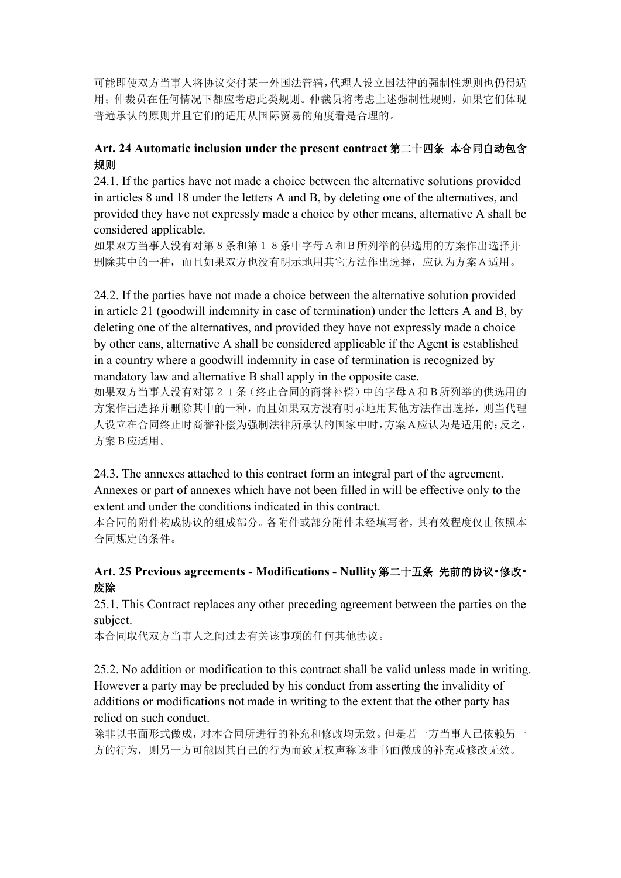可能即使双方当事人将协议交付某一外国法管辖,代理人设立国法律的强制性规则也仍得适 用;仲裁员在任何情况下都应考虑此类规则。仲裁员将考虑上述强制性规则,如果它们体现 普遍承认的原则并且它们的适用从国际贸易的角度看是合理的。

# **Art. 24 Automatic inclusion under the present contract** 第二十四条 本合同自动包含 规则的人物的人物,但是我们的人物,我们的人物,我们的人物,我们的人物,我们的人物,我们的人物,我们的人物,我们的人物,我们的人物,我们的人物,我们的人物,我们

24.1. If the parties have not made a choice between the alternative solutions provided in articles 8 and 18 under the letters A and B, by deleting one of the alternatives, and provided they have not expressly made a choice by other means, alternative A shall be considered applicable.

如果双方当事人没有对第8条和第18条中字母A和B所列举的供选用的方案作出选择并 删除其中的一种,而且如果双方也没有明示地用其它方法作出选择,应认为方案A适用。

24.2. If the parties have not made a choice between the alternative solution provided in article 21 (goodwill indemnity in case of termination) under the letters A and B, by deleting one of the alternatives, and provided they have not expressly made a choice by other eans, alternative A shall be considered applicable if the Agent is established in a country where a goodwill indemnity in case of termination is recognized by mandatory law and alternative B shall apply in the opposite case.

如果双方当事人没有对第21条(终止合同的商誉补偿)中的字母A和B所列举的供选用的 方案作出选择并删除其中的一种,而且如果双方没有明示地用其他方法作出选择,则当代理 人设立在合同终止时商誉补偿为强制法律所承认的国家中时,方案A应认为是适用的;反之, 方案B应适用。

24.3. The annexes attached to this contract form an integral part of the agreement. Annexes or part of annexes which have not been filled in will be effective only to the extent and under the conditions indicated in this contract.

本合同的附件构成协议的组成部分。各附件或部分附件未经填写者,其有效程度仅由依照本 合同规定的条件。

## **Art. 25 Previous agreements - Modifications - Nullity** 第二十五条 先前的协议•修改• 废除 医心包的 医心包的 医心包的 医心包的 医心包的 医心包的

25.1. This Contract replaces any other preceding agreement between the parties on the subject.

本合同取代双方当事人之间过去有关该事项的任何其他协议。

25.2. No addition or modification to this contract shall be valid unless made in writing. However a party may be precluded by his conduct from asserting the invalidity of additions or modifications not made in writing to the extent that the other party has relied on such conduct.

除非以书面形式做成,对本合同所进行的补充和修改均无效。但是若一方当事人已依赖另一 方的行为,则另一方可能因其自己的行为而致无权声称该非书面做成的补充或修改无效。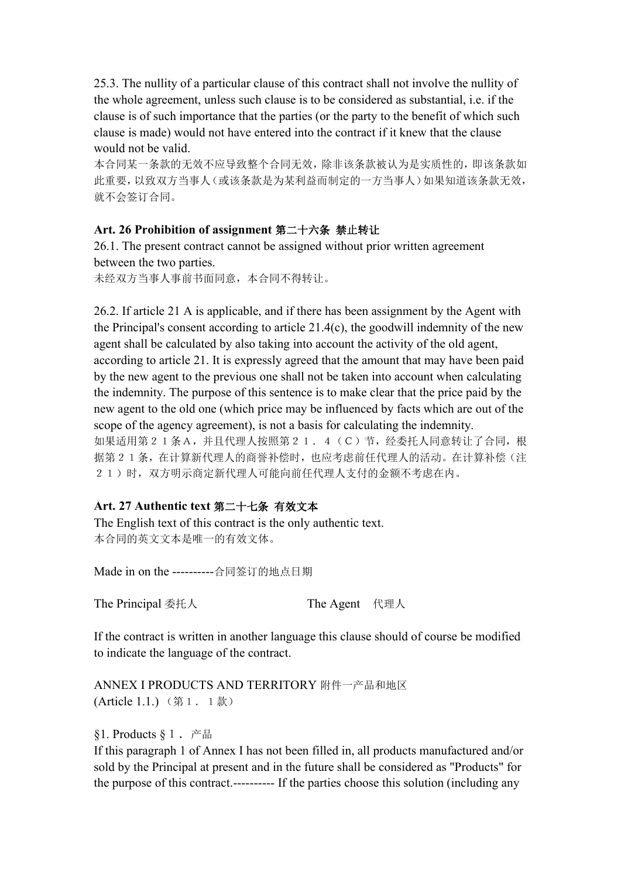25.3. The nullity of a particular clause of this contract shall not involve the nullity of the whole agreement, unless such clause is to be considered as substantial, i.e. if the clause is of such importance that the parties (or the party to the benefit of which such clause is made) would not have entered into the contract if it knew that the clause would not be valid.

本合同某一条款的无效不应导致整个合同无效,除非该条款被认为是实质性的,即该条款如 此重要,以致双方当事人(或该条款是为某利益而制定的一方当事人)如果知道该条款无效, 就不会签订合同。

### **Art. 26 Prohibition of assignment** 第二十六条 禁止转让

26.1. The present contract cannot be assigned without prior written agreement between the two parties.

未经双方当事人事前书面同意,本合同不得转让。

26.2. If article 21 A is applicable, and if there has been assignment by the Agent with the Principal's consent according to article 21.4(c), the goodwill indemnity of the new agent shall be calculated by also taking into account the activity of the old agent, according to article 21. It is expressly agreed that the amount that may have been paid by the new agent to the previous one shall not be taken into account when calculating the indemnity. The purpose of this sentence is to make clear that the price paid by the new agent to the old one (which price may be influenced by factswhich are out of the scope of the agency agreement), is not a basis for calculating the indemnity. 如果适用第21条A,并且代理人按照第21.4(C)节,经委托人同意转让了合同,根 据第21条,在计算新代理人的商誉补偿时,也应考虑前任代理人的活动。在计算补偿(注

21)时,双方明示商定新代理人可能向前任代理人支付的金额不考虑在内。

### **Art. 27 Authentic text** 第二十七条 有效文本

The English text of this contract is the only authentic text. 本合同的英文文本是唯一的有效文体。

Made in on the ----------合同签订的地点日期

The Principal 委托人 The Agent 代理人

If the contract is written in another language this clause should of course be modified

to indicate the language of the contract.<br>ANNEX I PRODUCTS AND TERRITORY 附件一产品和地区 (Article 1.1.) (第1.1款)

§1. Products §1.产品

If this paragraph 1 of Annex I has not been filled in, all products manufactured and/or sold by the Principal at present and in the future shall be considered as "Products" for the purpose of this contract.---------- If the parties choose this solution (including any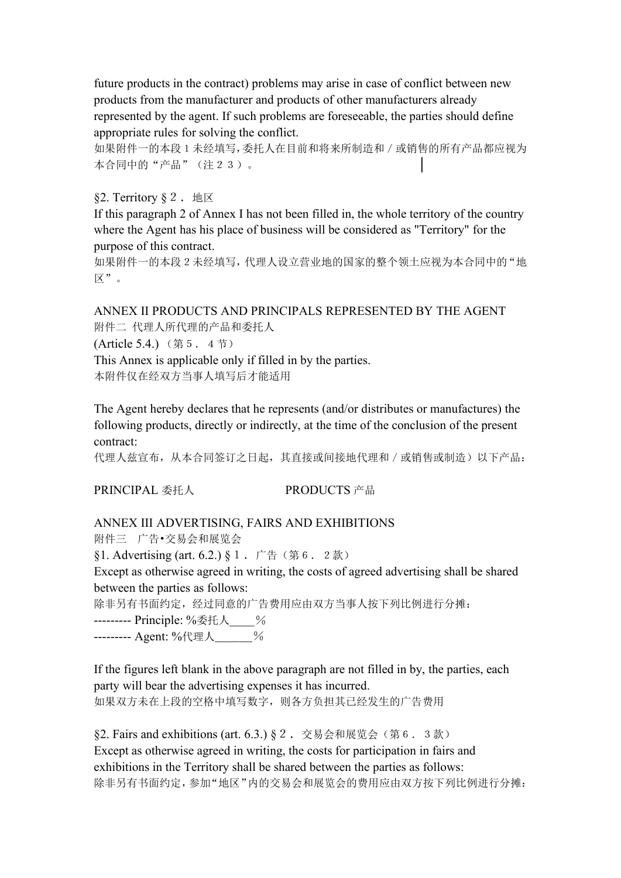future products in the contract) problems may arise in case of conflict between new products from the manufacturer and products of other manufacturers already represented by the agent. If such problems are foreseeable, the parties should define appropriate rules for solving the conflict.

如果附件一的本段1未经填写,委托人在目前和将来所制造和/或销售的所有产品都应视为 本合同中的"产品"(注23)。

§2. Territory § 2. 地区

If this paragraph 2 of Annex I has not been filled in, the whole territory of the country where the Agent has his place of business will be considered as "Territory" for the purpose of this contract.

如果附件一的本段2未经填写,代理人设立营业地的国家的整个领土应视为本合同中的"地 区"。

ANNEX II PRODUCTS AND PRINCIPALS REPRESENTED BY THE AGENT 附件二 代理人所代理的产品和委托人

(Article 5.4.)(第5.4节)

This Annex is applicable only if filled in by the parties. 本附件仅在经双方当事人填写后才能适用

The Agent hereby declares that he represents (and/or distributes or manufactures) the following products, directly or indirectly, at the time of the conclusion of the present contract:

代理人兹宣布,从本合同签订之日起,其直接或间接地代理和/或销售或制造)以下产品:

PRINCIPAL 委托人 PRODUCTS 产品

### ANNEX III ADVERTISING, FAIRS AND EXHIBITIONS

附件三 广告•交易会和展览会

§1. Advertising (art. 6.2.) § 1. 广告(第6.2款)

Except as otherwise agreed in writing, the costs of agreed advertising shall be shared between the parties as follows:

除非另有书面约定,经过同意的广告费用应由双方当事人按下列比例进行分摊:

-------- Principle: %委托人\_\_\_\_%

--------- Agent: %代理人\_\_\_%

If the figures left blank in the above paragraph are not filled in by, the parties, each party will bear the advertising expenses it has incurred. 如果双方未在上段的空格中填写数字,则各方负担其已经发生的广告费用

 $\S$ 2. Fairs and exhibitions (art. 6.3.)  $\S$ 2. 交易会和展览会(第6.3款) Except as otherwise agreed in writing, the costs for participation in fairs and exhibitions in the Territory shall be shared between the parties as follows: 除非另有书面约定,参加"地区"内的交易会和展览会的费用应由双方按下列比例进行分摊: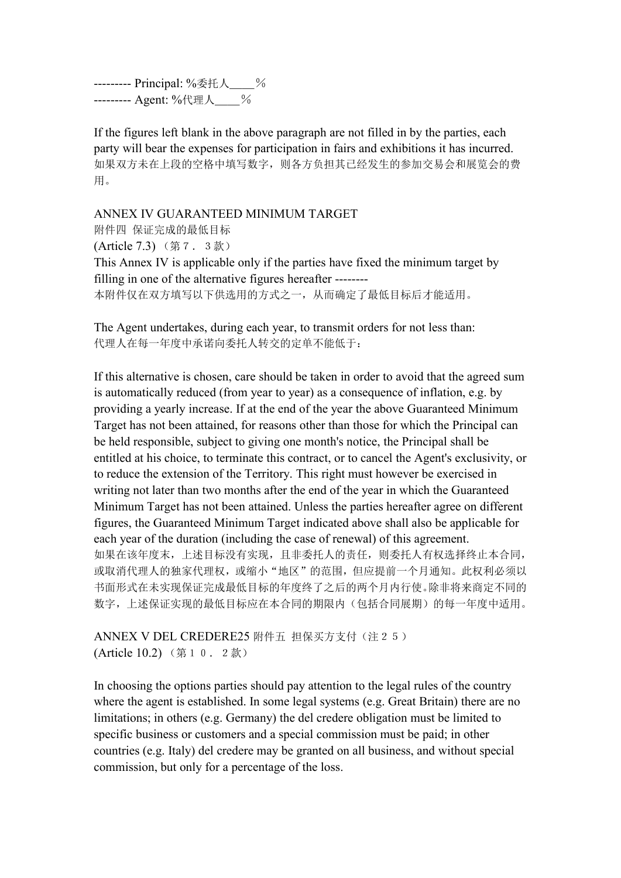-------- Principal: %委托人 % -------- Agent: %代理人 %

If the figures left blank in the above paragraph are not filled in by the parties, each party will bear the expenses for participation in fairs and exhibitions it has incurred. 如果双方未在上段的空格中填写数字,则各方负担其已经发生的参加交易会和展览会的费 用。

#### ANNEX IV GUARANTEED MINIMUM TARGET

附件四 保证完成的最低目标 (Article 7.3) (第7.3款) This Annex IV is applicable only if the parties have fixed the minimum target by filling in one of the alternative figures hereafter -------- 本附件仅在双方填写以下供选用的方式之一,从而确定了最低目标后才能适用。

The Agent undertakes, during each year, to transmit orders for not less than: 代理人在每一年度中承诺向委托人转交的定单不能低于:

If this alternative is chosen, care should be taken in order to avoid that the agreed sum is automatically reduced (from year to year) as a consequence of inflation, e.g. by providing a yearly increase. If at the end of the year the above Guaranteed Minimum Target has not been attained, for reasons other than those for which the Principal can be held responsible, subject to giving one month's notice, the Principal shall be entitled at his choice, to terminate this contract, or to cancel the Agent's exclusivity, or to reduce the extension of the Territory. This right must however be exercised in writing not later than two months after the end of the year in which the Guaranteed Minimum Target has not been attained. Unless the parties hereafter agree on different figures, the Guaranteed Minimum Target indicated above shall also be applicable for each year of the duration (including the case of renewal) of this agreement. 如果在该年度末,上述目标没有实现,且非委托人的责任,则委托人有权选择终止本合同, 或取消代理人的独家代理权, 或缩小"地区"的范围, 但应提前一个月通知。此权利必须以 书面形式在未实现保证完成最低目标的年度终了之后的两个月内行使。除非将来商定不同的 数字,上述保证实现的最低目标应在本合同的期限内(包括合同展期)的每一年度中适用。

ANNEX V DEL CREDERE25 附件五 担保买方支付(注25) (Article 10.2) (第10.2款)

In choosing the options parties should pay attention to the legal rules of the country where the agent is established. In some legal systems (e.g. Great Britain) there are no limitations; in others (e.g. Germany) the del credere obligation must be limited to specific business or customers and a special commission must be paid; in other countries (e.g. Italy) del credere may be granted on all business, and without special commission, but only for a percentage of the loss.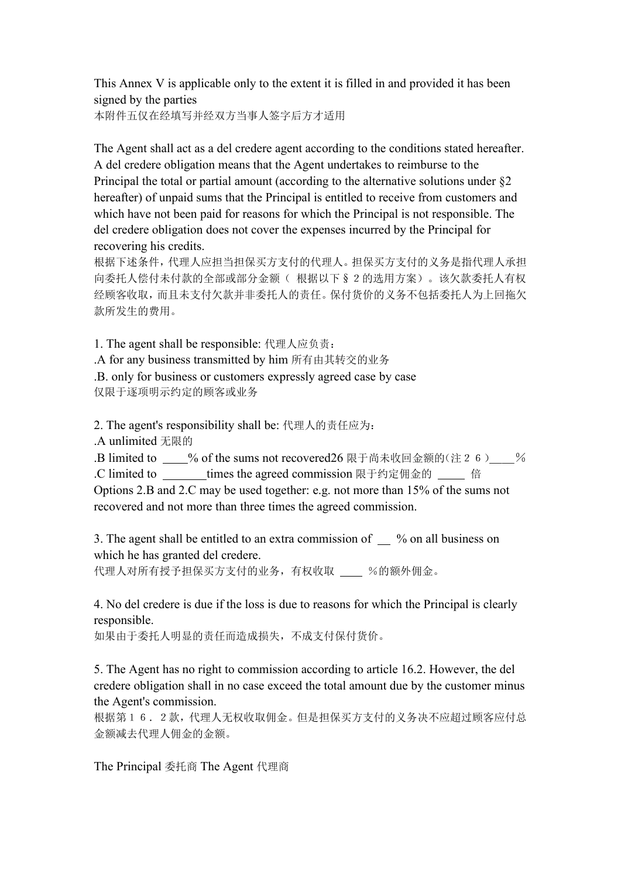This Annex V is applicable only to the extent it is filled in and provided it has been signed by the parties

本附件五仅在经填写并经双方当事人签字后方才适用

The Agent shall act as a del credere agent according to the conditions stated hereafter. A del credere obligation means that the Agent undertakes to reimburse to the Principal the total or partial amount (according to the alternative solutions under §2 hereafter) of unpaid sums that the Principal is entitled to receive from customers and which have not been paid for reasons for which the Principal is not responsible. The del credere obligation does not cover the expenses incurred by the Principal for recovering his credits.

根据下述条件,代理人应担当担保买方支付的代理人。担保买方支付的义务是指代理人承担 向委托人偿付未付款的全部或部分金额( 根据以下§2的选用方案)。该欠款委托人有权 经顾客收取,而且未支付欠款并非委托人的责任。保付货价的义务不包括委托人为上回拖欠 款所发生的费用。

1. The agent shall be responsible: 代理人应负责:

.A for any business transmitted by him 所有由其转交的业务

.B. only for business or customers expressly agreed case by case 仅限于逐项明示约定的顾客或业务

2. The agent's responsibility shall be: 代理人的责任应为:

.A unlimited 无限的

.B limited to  $\%$  of the sums not recovered 26 限于尚未收回金额的(注26) $\%$ .C limited to times the agreed commission 限于约定佣金的 倍

Options 2.B and 2.C may be used together: e.g. not more than  $15\%$  of the sums not recovered and not more than three times the agreed commission.

3. The agent shall be entitled to an extra commission of  $\mu$  % on all business on which he has granted del credere.

代理人对所有授予担保买方支付的业务,有权收取 \_\_\_ %的额外佣金。

4. No del credere is due if the loss is due to reasons for which the Principal is clearly responsible.

如果由于委托人明显的责任而造成损失,不成支付保付货价。

5. The Agent has no right to commission according to article 16.2. However, the del credere obligation shall in no case exceed the total amount due by the customer minus the Agent's commission.

根据第16.2款,代理人无权收取佣金。但是担保买方支付的义务决不应超过顾客应付总 金额减去代理人佣金的金额。

The Principal 委托商 The Agent 代理商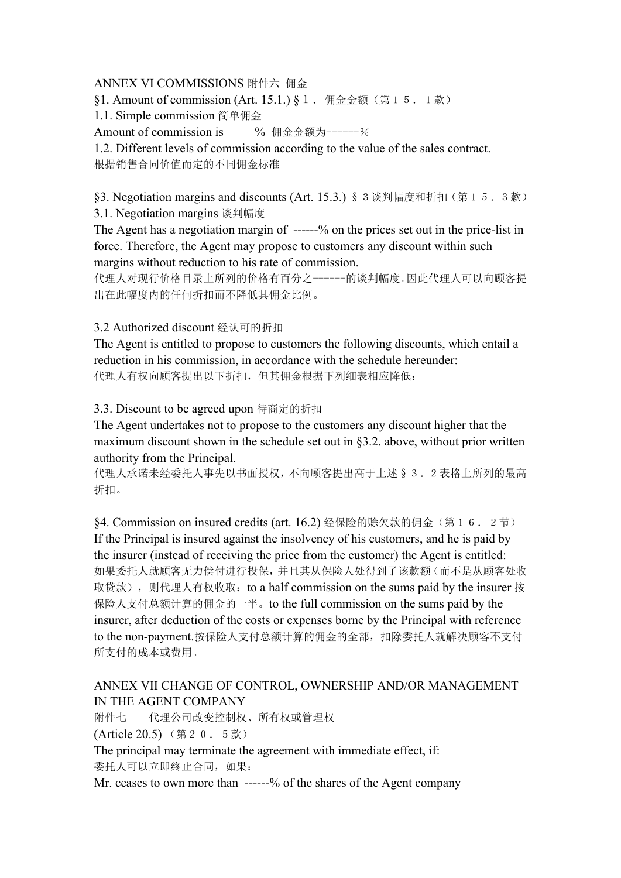### ANNEX VI COMMISSIONS 附件六 佣金

§1. Amount of commission (Art. 15.1.) § 1. 佣金金额(第15.1款)

1.1. Simple commission 简单佣金

Amount of commission is % 佣金金额为------%

1.2. Different levels of commission according to the value of the sales contract. 根据销售合同价值而定的不同佣金标准

§3. Negotiation margins and discounts (Art. 15.3.) § 3 谈判幅度和折扣(第15.3款)

3.1. Negotiation margins 谈判幅度

The Agent has a negotiation margin of ------% on the prices set out in the price-list in force. Therefore, the Agent may propose to customers any discount within such margins without reduction to his rate of commission.

代理人对现行价格目录上所列的价格有百分之------的谈判幅度。因此代理人可以向顾客提 出在此幅度内的任何折扣而不降低其佣金比例。

#### 3.2 Authorized discount 经认可的折扣

The Agent is entitled to propose to customers the following discounts, which entail a reduction in his commission, in accordance with the schedule hereunder: 代理人有权向顾客提出以下折扣,但其佣金根据下列细表相应降低:

3.3. Discount to be agreed upon 待商定的折扣

The Agent undertakes not to propose to the customers any discount higher that the maximum discount shown in the schedule set out in §3.2. above, without prior written authority from the Principal.

代理人承诺未经委托人事先以书面授权,不向顾客提出高于上述§3.2表格上所列的最高 折扣。

§4. Commission on insured credits (art.16.2) 经保险的赊欠款的佣金(第16.2节) If the Principal is insured against the insolvency of his customers, and he is paid by the insurer (instead of receiving the price from the customer) the Agent is entitled: 如果委托人就顾客无力偿付进行投保,并且其从保险人处得到了该款额(而不是从顾客处收 取贷款), 则代理人有权收取: to a half commission on the sums paid by the insurer 按 保险人支付总额计算的佣金的一半。to the full commission on the sums paid by the insurer, after deduction of the costs or expenses borne by the Principal with reference to the non-payment.按保险人支付总额计算的佣金的全部,扣除委托人就解决顾客不支付 所支付的成本或费用。

## ANNEX VII CHANGE OF CONTROL, OWNERSHIP AND/OR MANAGEMENT IN THE AGENT COMPANY

附件七 代理公司改变控制权、所有权或管理权 (Article 20.5) (第20.5款) The principal may terminate the agreement with immediate effect, if: 委托人可以立即终止合同,如果:

Mr. ceases to own more than  $---$ % of the shares of the Agent company